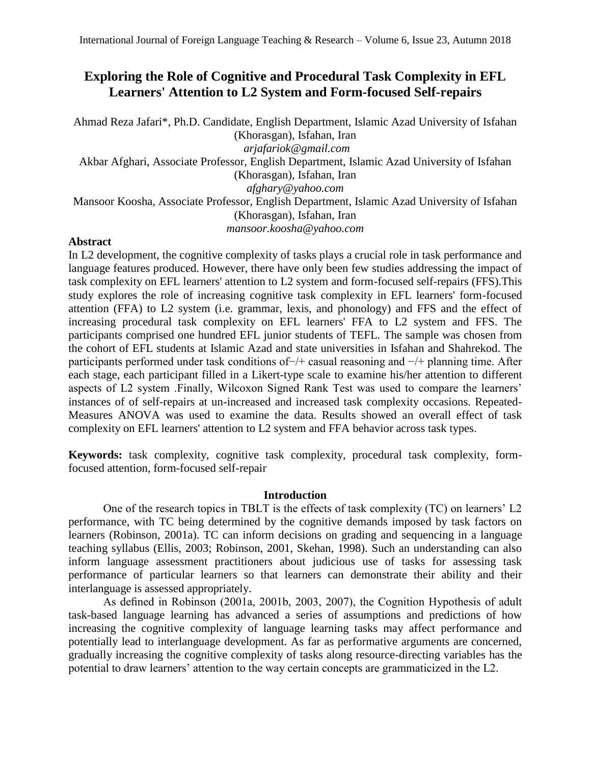# **Exploring the Role of Cognitive and Procedural Task Complexity in EFL Learners' Attention to L2 System and Form-focused Self-repairs**

Ahmad Reza Jafari\*, Ph.D. Candidate, English Department, Islamic Azad University of Isfahan (Khorasgan), Isfahan, Iran *[arjafariok@gmail.com](mailto:arjafariok@gmail.com)* Akbar Afghari, Associate Professor, English Department, Islamic Azad University of Isfahan (Khorasgan), Isfahan, Iran *[afghary@yahoo.com](mailto:afghary@yahoo.com)* Mansoor Koosha, Associate Professor, English Department, Islamic Azad University of Isfahan (Khorasgan), Isfahan, Iran *mansoor.koosha@yahoo.com*

# **Abstract**

In L2 development, the cognitive complexity of tasks plays a crucial role in task performance and language features produced. However, there have only been few studies addressing the impact of task complexity on EFL learners' attention to L2 system and form-focused self-repairs (FFS).This study explores the role of increasing cognitive task complexity in EFL learners' form-focused attention (FFA) to L2 system (i.e. grammar, lexis, and phonology) and FFS and the effect of increasing procedural task complexity on EFL learners' FFA to L2 system and FFS. The participants comprised one hundred EFL junior students of TEFL. The sample was chosen from the cohort of EFL students at Islamic Azad and state universities in Isfahan and Shahrekod. The participants performed under task conditions of−/+ casual reasoning and −/+ planning time. After each stage, each participant filled in a Likert-type scale to examine his/her attention to different aspects of L2 system .Finally, Wilcoxon Signed Rank Test was used to compare the learners' instances of of self-repairs at un-increased and increased task complexity occasions. Repeated-Measures ANOVA was used to examine the data. Results showed an overall effect of task complexity on EFL learners' attention to L2 system and FFA behavior across task types.

**Keywords:** task complexity, cognitive task complexity, procedural task complexity, formfocused attention, form-focused self-repair

# **Introduction**

One of the research topics in TBLT is the effects of task complexity (TC) on learners' L2 performance, with TC being determined by the cognitive demands imposed by task factors on learners (Robinson, 2001a). TC can inform decisions on grading and sequencing in a language teaching syllabus (Ellis, 2003; Robinson, 2001, Skehan, 1998). Such an understanding can also inform language assessment practitioners about judicious use of tasks for assessing task performance of particular learners so that learners can demonstrate their ability and their interlanguage is assessed appropriately.

As defined in Robinson (2001a, 2001b, 2003, 2007), the Cognition Hypothesis of adult task-based language learning has advanced a series of assumptions and predictions of how increasing the cognitive complexity of language learning tasks may affect performance and potentially lead to interlanguage development. As far as performative arguments are concerned, gradually increasing the cognitive complexity of tasks along resource-directing variables has the potential to draw learners' attention to the way certain concepts are grammaticized in the L2.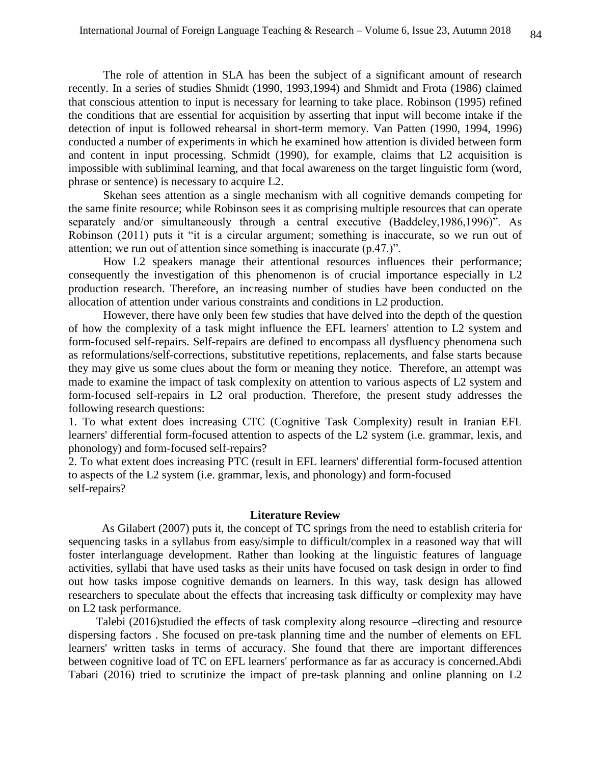The role of attention in SLA has been the subject of a significant amount of research recently. In a series of studies Shmidt (1990, 1993,1994) and Shmidt and Frota (1986) claimed that conscious attention to input is necessary for learning to take place. Robinson (1995) refined the conditions that are essential for acquisition by asserting that input will become intake if the detection of input is followed rehearsal in short-term memory. Van Patten (1990, 1994, 1996) conducted a number of experiments in which he examined how attention is divided between form and content in input processing. Schmidt (1990), for example, claims that L2 acquisition is impossible with subliminal learning, and that focal awareness on the target linguistic form (word, phrase or sentence) is necessary to acquire L2.

Skehan sees attention as a single mechanism with all cognitive demands competing for the same finite resource; while Robinson sees it as comprising multiple resources that can operate separately and/or simultaneously through a central executive (Baddeley, 1986, 1996)". As Robinson (2011) puts it "it is a circular argument; something is inaccurate, so we run out of attention; we run out of attention since something is inaccurate (p.47.)".

How L2 speakers manage their attentional resources influences their performance; consequently the investigation of this phenomenon is of crucial importance especially in L2 production research. Therefore, an increasing number of studies have been conducted on the allocation of attention under various constraints and conditions in L2 production.

However, there have only been few studies that have delved into the depth of the question of how the complexity of a task might influence the EFL learners' attention to L2 system and form-focused self-repairs. Self-repairs are defined to encompass all dysfluency phenomena such as reformulations/self-corrections, substitutive repetitions, replacements, and false starts because they may give us some clues about the form or meaning they notice. Therefore, an attempt was made to examine the impact of task complexity on attention to various aspects of L2 system and form-focused self-repairs in L2 oral production. Therefore, the present study addresses the following research questions:

1. To what extent does increasing CTC (Cognitive Task Complexity) result in Iranian EFL learners' differential form-focused attention to aspects of the L2 system (i.e. grammar, lexis, and phonology) and form-focused self-repairs?

2. To what extent does increasing PTC (result in EFL learners' differential form-focused attention to aspects of the L2 system (i.e. grammar, lexis, and phonology) and form-focused self-repairs?

# **Literature Review**

 As Gilabert (2007) puts it, the concept of TC springs from the need to establish criteria for sequencing tasks in a syllabus from easy/simple to difficult/complex in a reasoned way that will foster interlanguage development. Rather than looking at the linguistic features of language activities, syllabi that have used tasks as their units have focused on task design in order to find out how tasks impose cognitive demands on learners. In this way, task design has allowed researchers to speculate about the effects that increasing task difficulty or complexity may have on L2 task performance.

 Talebi (2016)studied the effects of task complexity along resource –directing and resource dispersing factors . She focused on pre-task planning time and the number of elements on EFL learners' written tasks in terms of accuracy. She found that there are important differences between cognitive load of TC on EFL learners' performance as far as accuracy is concerned.Abdi Tabari (2016) tried to scrutinize the impact of pre-task planning and online planning on L2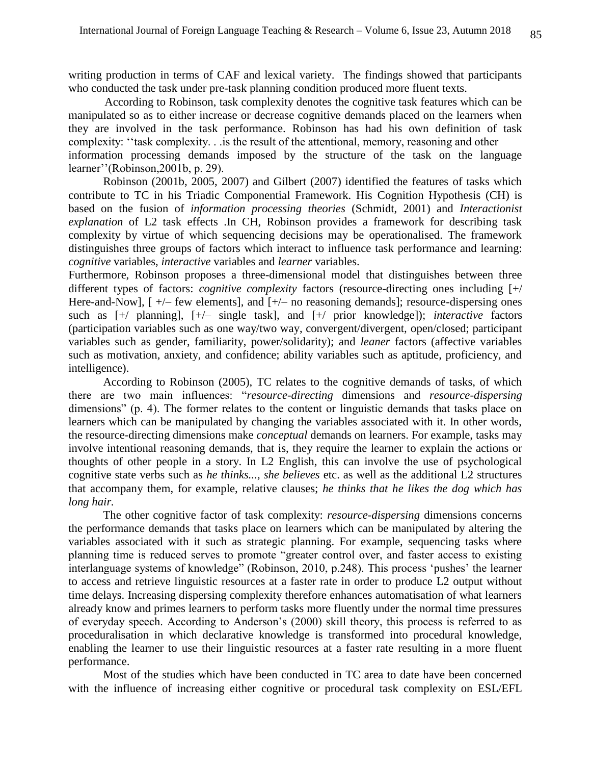writing production in terms of CAF and lexical variety. The findings showed that participants who conducted the task under pre-task planning condition produced more fluent texts.

 According to Robinson, task complexity denotes the cognitive task features which can be manipulated so as to either increase or decrease cognitive demands placed on the learners when they are involved in the task performance. Robinson has had his own definition of task complexity: ''task complexity. . .is the result of the attentional, memory, reasoning and other information processing demands imposed by the structure of the task on the language learner''(Robinson,2001b, p. 29).

Robinson (2001b, 2005, 2007) and Gilbert (2007) identified the features of tasks which contribute to TC in his Triadic Componential Framework. His Cognition Hypothesis (CH) is based on the fusion of *information processing theories* (Schmidt, 2001) and *Interactionist explanation* of L2 task effects .In CH, Robinson provides a framework for describing task complexity by virtue of which sequencing decisions may be operationalised. The framework distinguishes three groups of factors which interact to influence task performance and learning: *cognitive* variables, *interactive* variables and *learner* variables.

Furthermore, Robinson proposes a three-dimensional model that distinguishes between three different types of factors: *cognitive complexity* factors (resource-directing ones including [+/ Here-and-Now],  $[+/-$  few elements], and  $[+/-$  no reasoning demands]; resource-dispersing ones such as [+/ planning], [+/– single task], and [+/ prior knowledge]); *interactive* factors (participation variables such as one way/two way, convergent/divergent, open/closed; participant variables such as gender, familiarity, power/solidarity); and *leaner* factors (affective variables such as motivation, anxiety, and confidence; ability variables such as aptitude, proficiency, and intelligence).

According to Robinson (2005), TC relates to the cognitive demands of tasks, of which there are two main influences: "*resource-directing* dimensions and *resource-dispersing*  dimensions" (p. 4). The former relates to the content or linguistic demands that tasks place on learners which can be manipulated by changing the variables associated with it. In other words, the resource-directing dimensions make *conceptual* demands on learners. For example, tasks may involve intentional reasoning demands, that is, they require the learner to explain the actions or thoughts of other people in a story. In L2 English, this can involve the use of psychological cognitive state verbs such as *he thinks..., she believes* etc. as well as the additional L2 structures that accompany them, for example, relative clauses; *he thinks that he likes the dog which has long hair.* 

The other cognitive factor of task complexity: *resource-dispersing* dimensions concerns the performance demands that tasks place on learners which can be manipulated by altering the variables associated with it such as strategic planning. For example, sequencing tasks where planning time is reduced serves to promote "greater control over, and faster access to existing interlanguage systems of knowledge" (Robinson, 2010, p.248). This process 'pushes' the learner to access and retrieve linguistic resources at a faster rate in order to produce L2 output without time delays. Increasing dispersing complexity therefore enhances automatisation of what learners already know and primes learners to perform tasks more fluently under the normal time pressures of everyday speech. According to Anderson's (2000) skill theory, this process is referred to as proceduralisation in which declarative knowledge is transformed into procedural knowledge, enabling the learner to use their linguistic resources at a faster rate resulting in a more fluent performance.

Most of the studies which have been conducted in TC area to date have been concerned with the influence of increasing either cognitive or procedural task complexity on ESL/EFL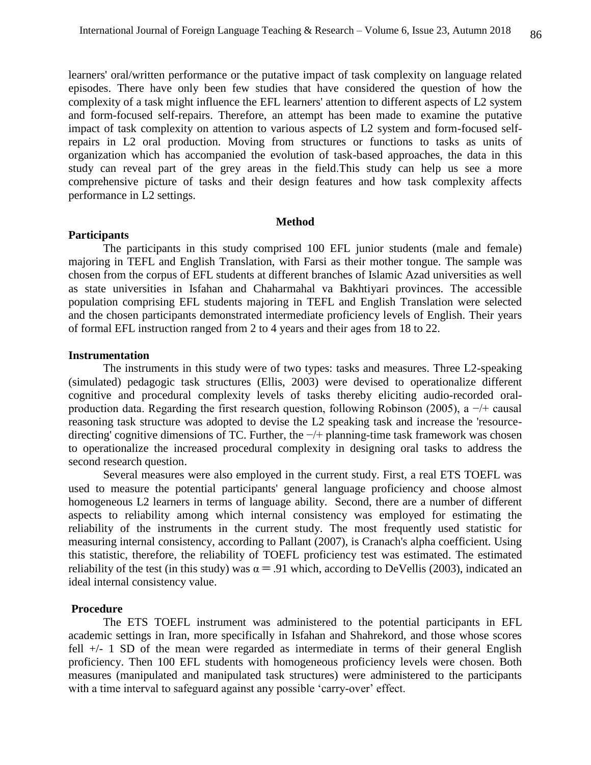learners' oral/written performance or the putative impact of task complexity on language related episodes. There have only been few studies that have considered the question of how the complexity of a task might influence the EFL learners' attention to different aspects of L2 system and form-focused self-repairs. Therefore, an attempt has been made to examine the putative impact of task complexity on attention to various aspects of L2 system and form-focused selfrepairs in L2 oral production. Moving from structures or functions to tasks as units of organization which has accompanied the evolution of task-based approaches, the data in this study can reveal part of the grey areas in the field.This study can help us see a more comprehensive picture of tasks and their design features and how task complexity affects performance in L2 settings.

### **Method**

### **Participants**

The participants in this study comprised 100 EFL junior students (male and female) majoring in TEFL and English Translation, with Farsi as their mother tongue. The sample was chosen from the corpus of EFL students at different branches of Islamic Azad universities as well as state universities in Isfahan and Chaharmahal va Bakhtiyari provinces. The accessible population comprising EFL students majoring in TEFL and English Translation were selected and the chosen participants demonstrated intermediate proficiency levels of English. Their years of formal EFL instruction ranged from 2 to 4 years and their ages from 18 to 22.

### **Instrumentation**

The instruments in this study were of two types: tasks and measures. Three L2-speaking (simulated) pedagogic task structures (Ellis, 2003) were devised to operationalize different cognitive and procedural complexity levels of tasks thereby eliciting audio-recorded oralproduction data. Regarding the first research question, following Robinson (2005), a −/+ causal reasoning task structure was adopted to devise the L2 speaking task and increase the 'resourcedirecting' cognitive dimensions of TC. Further, the −/+ planning-time task framework was chosen to operationalize the increased procedural complexity in designing oral tasks to address the second research question.

Several measures were also employed in the current study. First, a real ETS TOEFL was used to measure the potential participants' general language proficiency and choose almost homogeneous L2 learners in terms of language ability. Second, there are a number of different aspects to reliability among which internal consistency was employed for estimating the reliability of the instruments in the current study. The most frequently used statistic for measuring internal consistency, according to Pallant (2007), is Cranach's alpha coefficient. Using this statistic, therefore, the reliability of TOEFL proficiency test was estimated. The estimated reliability of the test (in this study) was  $\alpha = .91$  which, according to DeVellis (2003), indicated an ideal internal consistency value.

#### **Procedure**

The ETS TOEFL instrument was administered to the potential participants in EFL academic settings in Iran, more specifically in Isfahan and Shahrekord, and those whose scores fell +/- 1 SD of the mean were regarded as intermediate in terms of their general English proficiency. Then 100 EFL students with homogeneous proficiency levels were chosen. Both measures (manipulated and manipulated task structures) were administered to the participants with a time interval to safeguard against any possible 'carry-over' effect.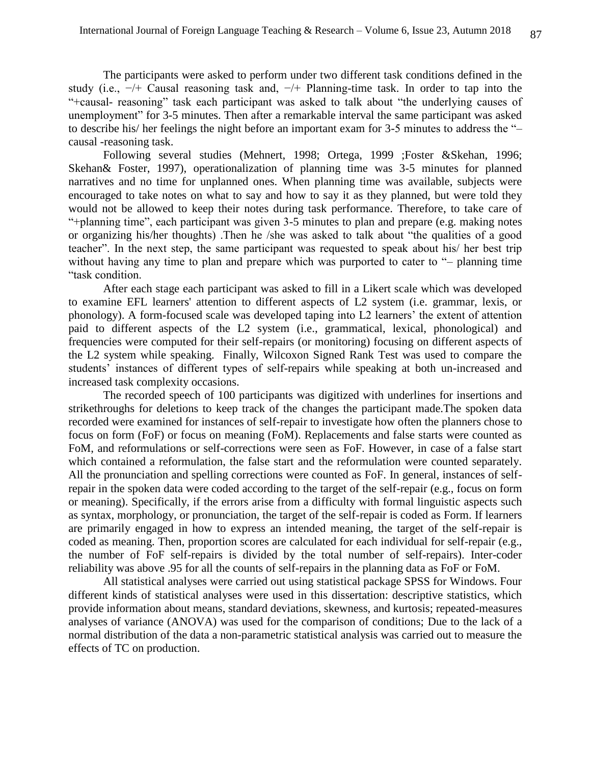The participants were asked to perform under two different task conditions defined in the study (i.e., −/+ Causal reasoning task and, −/+ Planning-time task. In order to tap into the "+causal- reasoning" task each participant was asked to talk about "the underlying causes of unemployment" for 3-5 minutes. Then after a remarkable interval the same participant was asked to describe his/ her feelings the night before an important exam for 3-5 minutes to address the "– causal -reasoning task.

Following several studies (Mehnert, 1998; Ortega, 1999 ;Foster &Skehan, 1996; Skehan& Foster, 1997), operationalization of planning time was 3-5 minutes for planned narratives and no time for unplanned ones. When planning time was available, subjects were encouraged to take notes on what to say and how to say it as they planned, but were told they would not be allowed to keep their notes during task performance. Therefore, to take care of "+planning time", each participant was given 3-5 minutes to plan and prepare (e.g. making notes or organizing his/her thoughts) .Then he /she was asked to talk about "the qualities of a good teacher". In the next step, the same participant was requested to speak about his/ her best trip without having any time to plan and prepare which was purported to cater to "– planning time "task condition.

After each stage each participant was asked to fill in a Likert scale which was developed to examine EFL learners' attention to different aspects of L2 system (i.e. grammar, lexis, or phonology). A form-focused scale was developed taping into L2 learners' the extent of attention paid to different aspects of the L2 system (i.e., grammatical, lexical, phonological) and frequencies were computed for their self-repairs (or monitoring) focusing on different aspects of the L2 system while speaking. Finally, Wilcoxon Signed Rank Test was used to compare the students' instances of different types of self-repairs while speaking at both un-increased and increased task complexity occasions.

The recorded speech of 100 participants was digitized with underlines for insertions and strikethroughs for deletions to keep track of the changes the participant made.The spoken data recorded were examined for instances of self-repair to investigate how often the planners chose to focus on form (FoF) or focus on meaning (FoM). Replacements and false starts were counted as FoM, and reformulations or self-corrections were seen as FoF. However, in case of a false start which contained a reformulation, the false start and the reformulation were counted separately. All the pronunciation and spelling corrections were counted as FoF. In general, instances of selfrepair in the spoken data were coded according to the target of the self-repair (e.g., focus on form or meaning). Specifically, if the errors arise from a difficulty with formal linguistic aspects such as syntax, morphology, or pronunciation, the target of the self-repair is coded as Form. If learners are primarily engaged in how to express an intended meaning, the target of the self-repair is coded as meaning. Then, proportion scores are calculated for each individual for self-repair (e.g., the number of FoF self-repairs is divided by the total number of self-repairs). Inter-coder reliability was above .95 for all the counts of self-repairs in the planning data as FoF or FoM.

All statistical analyses were carried out using statistical package SPSS for Windows. Four different kinds of statistical analyses were used in this dissertation: descriptive statistics, which provide information about means, standard deviations, skewness, and kurtosis; repeated-measures analyses of variance (ANOVA) was used for the comparison of conditions; Due to the lack of a normal distribution of the data a non-parametric statistical analysis was carried out to measure the effects of TC on production.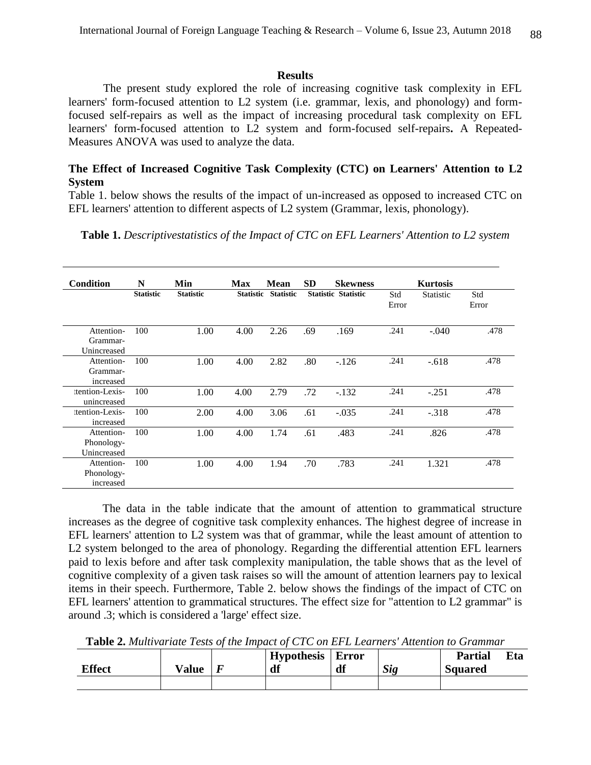#### **Results**

 The present study explored the role of increasing cognitive task complexity in EFL learners' form-focused attention to L2 system (i.e. grammar, lexis, and phonology) and formfocused self-repairs as well as the impact of increasing procedural task complexity on EFL learners' form-focused attention to L2 system and form-focused self-repairs**.** A Repeated-Measures ANOVA was used to analyze the data.

# **The Effect of Increased Cognitive Task Complexity (CTC) on Learners' Attention to L2 System**

Table 1. below shows the results of the impact of un-increased as opposed to increased CTC on EFL learners' attention to different aspects of L2 system (Grammar, lexis, phonology).

# **Table 1.** *Descriptivestatistics of the Impact of CTC on EFL Learners' Attention to L2 system*

| Condition                               | N                | Min              | <b>Max</b>       | <b>Mean</b>      | <b>SD</b> | <b>Skewness</b>            |              | <b>Kurtosis</b> |              |
|-----------------------------------------|------------------|------------------|------------------|------------------|-----------|----------------------------|--------------|-----------------|--------------|
|                                         | <b>Statistic</b> | <b>Statistic</b> | <b>Statistic</b> | <b>Statistic</b> |           | <b>Statistic Statistic</b> | Std<br>Error | Statistic       | Std<br>Error |
| Attention-<br>Grammar-<br>Unincreased   | 100              | 1.00             | 4.00             | 2.26             | .69       | .169                       | .241         | $-.040$         | .478         |
| Attention-<br>Grammar-<br>increased     | 100              | 1.00             | 4.00             | 2.82             | .80       | $-126$                     | .241         | $-.618$         | .478         |
| tention-Lexis-<br>unincreased           | 100              | 1.00             | 4.00             | 2.79             | .72       | $-.132$                    | .241         | $-.251$         | .478         |
| tention-Lexis-<br>increased             | 100              | 2.00             | 4.00             | 3.06             | .61       | $-.035$                    | .241         | $-.318$         | .478         |
| Attention-<br>Phonology-<br>Unincreased | 100              | 1.00             | 4.00             | 1.74             | .61       | .483                       | .241         | .826            | .478         |
| Attention-<br>Phonology-<br>increased   | 100              | 1.00             | 4.00             | 1.94             | .70       | .783                       | .241         | 1.321           | .478         |

The data in the table indicate that the amount of attention to grammatical structure increases as the degree of cognitive task complexity enhances. The highest degree of increase in EFL learners' attention to L2 system was that of grammar, while the least amount of attention to L2 system belonged to the area of phonology. Regarding the differential attention EFL learners paid to lexis before and after task complexity manipulation, the table shows that as the level of cognitive complexity of a given task raises so will the amount of attention learners pay to lexical items in their speech. Furthermore, Table 2. below shows the findings of the impact of CTC on EFL learners' attention to grammatical structures. The effect size for "attention to L2 grammar" is around .3; which is considered a 'large' effect size.

**Table 2.** *Multivariate Tests of the Impact of CTC on EFL Learners' Attention to Grammar*

|               |       | <b>Hypothesis</b> | Error |            | <b>Partial</b> | Eta |
|---------------|-------|-------------------|-------|------------|----------------|-----|
| <b>Effect</b> | Value | df                | df    | <b>Sig</b> | <b>Squared</b> |     |
|               |       |                   |       |            |                |     |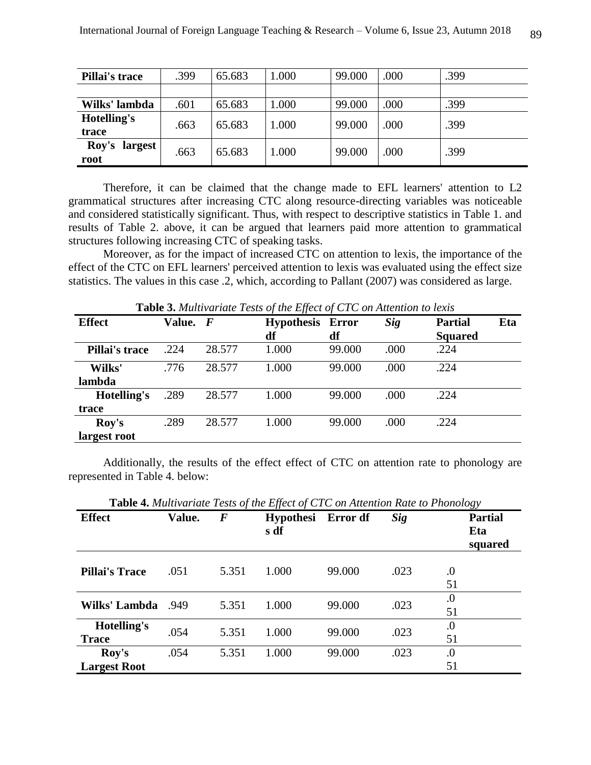| Pillai's trace           | .399 | 65.683 | 1.000 | 99.000 | .000 | .399 |
|--------------------------|------|--------|-------|--------|------|------|
|                          |      |        |       |        |      |      |
| Wilks' lambda            | .601 | 65.683 | 1.000 | 99.000 | .000 | .399 |
| Hotelling's<br>trace     | .663 | 65.683 | 1.000 | 99.000 | .000 | .399 |
| Roy's<br>largest<br>root | .663 | 65.683 | .000  | 99.000 | .000 | .399 |

Therefore, it can be claimed that the change made to EFL learners' attention to L2 grammatical structures after increasing CTC along resource-directing variables was noticeable and considered statistically significant. Thus, with respect to descriptive statistics in Table 1. and results of Table 2. above, it can be argued that learners paid more attention to grammatical structures following increasing CTC of speaking tasks.

Moreover, as for the impact of increased CTC on attention to lexis, the importance of the effect of the CTC on EFL learners' perceived attention to lexis was evaluated using the effect size statistics. The values in this case .2, which, according to Pallant (2007) was considered as large.

| <b>Effect</b>  | Value. F |        | <b>Hypothesis</b><br>df | <b>Error</b><br>df | <b>Sig</b> | <b>Partial</b><br><b>Squared</b> | Eta |
|----------------|----------|--------|-------------------------|--------------------|------------|----------------------------------|-----|
| Pillai's trace | .224     | 28.577 | 1.000                   | 99.000             | .000       | .224                             |     |
| Wilks'         | .776     | 28.577 | 1.000                   | 99.000             | .000       | .224                             |     |
| lambda         |          |        |                         |                    |            |                                  |     |
| Hotelling's    | .289     | 28.577 | 1.000                   | 99.000             | .000       | .224                             |     |
| trace          |          |        |                         |                    |            |                                  |     |
| Roy's          | .289     | 28.577 | 1.000                   | 99.000             | .000       | .224                             |     |
| largest root   |          |        |                         |                    |            |                                  |     |

**Table 3.** *Multivariate Tests of the Effect of CTC on Attention to lexis*

Additionally, the results of the effect effect of CTC on attention rate to phonology are represented in Table 4. below:

|                       |        |          | <b>Table 4.</b> Multivariate Tests of the Effect of CTC on Attention Rate to Phonology |        |            |                |
|-----------------------|--------|----------|----------------------------------------------------------------------------------------|--------|------------|----------------|
| <b>Effect</b>         | Value. | $\bm{F}$ | Hypothesi Error df                                                                     |        | <b>Sig</b> | <b>Partial</b> |
|                       |        |          | s df                                                                                   |        |            | Eta            |
|                       |        |          |                                                                                        |        |            | squared        |
|                       |        |          |                                                                                        |        |            |                |
|                       |        |          |                                                                                        |        |            |                |
| <b>Pillai's Trace</b> | .051   | 5.351    | 1.000                                                                                  | 99.000 | .023       | .0             |
|                       |        |          |                                                                                        |        |            | 51             |
|                       |        |          |                                                                                        |        |            | $\cdot$        |
| Wilks' Lambda         | .949   | 5.351    | 1.000                                                                                  | 99.000 | .023       |                |
|                       |        |          |                                                                                        |        |            | 51             |
| Hotelling's           |        |          |                                                                                        |        |            | $\cdot$        |
| <b>Trace</b>          | .054   | 5.351    | 1.000                                                                                  | 99.000 | .023       | 51             |
| Roy's                 | .054   | 5.351    | 1.000                                                                                  | 99.000 | .023       | .0             |
| <b>Largest Root</b>   |        |          |                                                                                        |        |            | 51             |

**Table 4.** *Multivariate Tests of the Effect of CTC on Attention Rate to Phonology*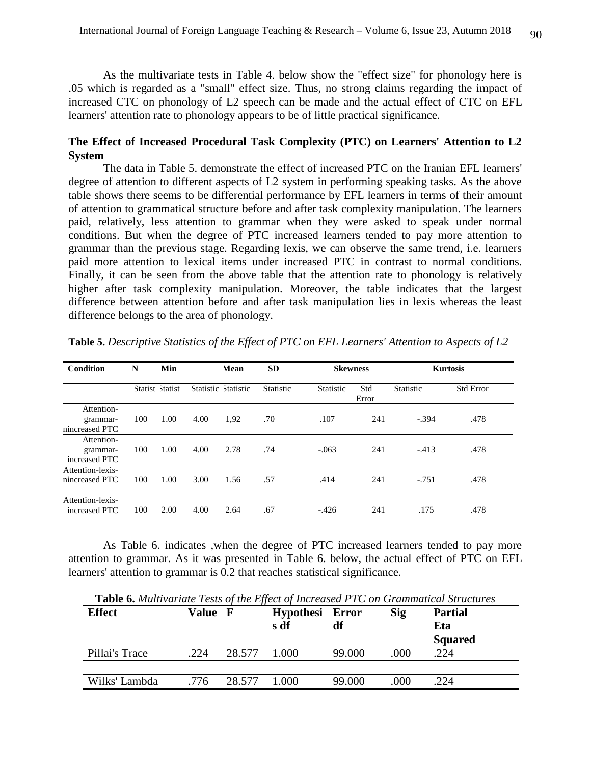As the multivariate tests in Table 4. below show the "effect size" for phonology here is .05 which is regarded as a "small" effect size. Thus, no strong claims regarding the impact of increased CTC on phonology of L2 speech can be made and the actual effect of CTC on EFL learners' attention rate to phonology appears to be of little practical significance.

# **The Effect of Increased Procedural Task Complexity (PTC) on Learners' Attention to L2 System**

The data in Table 5. demonstrate the effect of increased PTC on the Iranian EFL learners' degree of attention to different aspects of L2 system in performing speaking tasks. As the above table shows there seems to be differential performance by EFL learners in terms of their amount of attention to grammatical structure before and after task complexity manipulation. The learners paid, relatively, less attention to grammar when they were asked to speak under normal conditions. But when the degree of PTC increased learners tended to pay more attention to grammar than the previous stage. Regarding lexis, we can observe the same trend, i.e. learners paid more attention to lexical items under increased PTC in contrast to normal conditions. Finally, it can be seen from the above table that the attention rate to phonology is relatively higher after task complexity manipulation. Moreover, the table indicates that the largest difference between attention before and after task manipulation lies in lexis whereas the least difference belongs to the area of phonology.

| <b>Condition</b>                         | N   | Min             |      | Mean                | <b>SD</b> | <b>Skewness</b> |              |           | <b>Kurtosis</b>  |
|------------------------------------------|-----|-----------------|------|---------------------|-----------|-----------------|--------------|-----------|------------------|
|                                          |     | Statist Statist |      | Statistic Statistic | Statistic | Statistic       | Std<br>Error | Statistic | <b>Std Error</b> |
| Attention-<br>grammar-<br>nincreased PTC | 100 | 1.00            | 4.00 | 1,92                | .70       | .107            | .241         | $-.394$   | .478             |
| Attention-<br>grammar-<br>increased PTC  | 100 | 1.00            | 4.00 | 2.78                | .74       | $-.063$         | .241         | $-.413$   | .478             |
| Attention-lexis-<br>nincreased PTC       | 100 | 1.00            | 3.00 | 1.56                | .57       | .414            | .241         | $-.751$   | .478             |
| Attention-lexis-<br>increased PTC        | 100 | 2.00            | 4.00 | 2.64                | .67       | $-.426$         | .241         | .175      | .478             |

**Table 5.** *Descriptive Statistics of the Effect of PTC on EFL Learners' Attention to Aspects of L2*

As Table 6. indicates ,when the degree of PTC increased learners tended to pay more attention to grammar. As it was presented in Table 6. below, the actual effect of PTC on EFL learners' attention to grammar is 0.2 that reaches statistical significance.

**Table 6.** *Multivariate Tests of the Effect of Increased PTC on Grammatical Structures*

| <b>Effect</b>  | Value F |        | Hypothesi Error<br>s df | df     | <b>Sig</b> | <b>Partial</b><br>Eta<br><b>Squared</b> |
|----------------|---------|--------|-------------------------|--------|------------|-----------------------------------------|
| Pillai's Trace | .224    | 28.577 | 1.000                   | 99.000 | .000       | .224                                    |
|                |         |        |                         |        |            |                                         |
| Wilks' Lambda  | .776    | 28.577 | 1.000                   | 99.000 | .000       | .224                                    |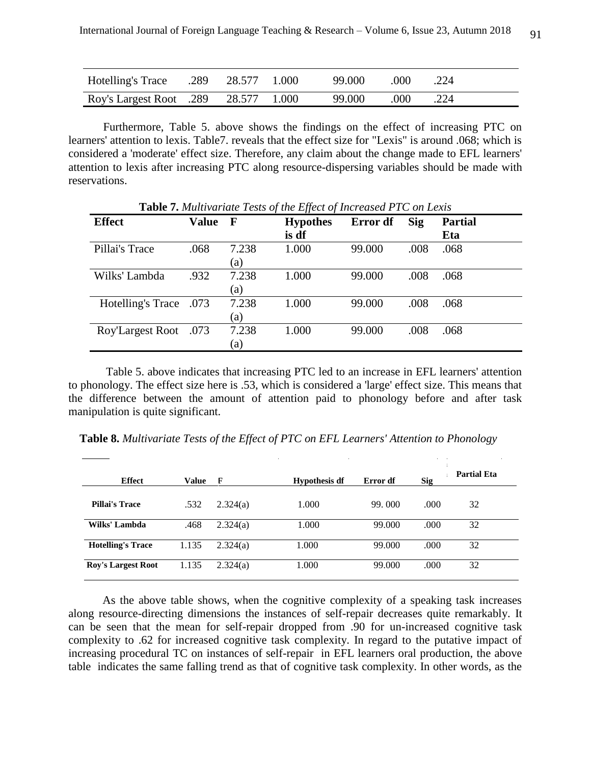| Hotelling's Trace .289 28.577 1.000  |  | 99.000 | .000 | .224 |  |
|--------------------------------------|--|--------|------|------|--|
| Roy's Largest Root .289 28.577 1.000 |  | 99.000 | .000 | .224 |  |

Furthermore, Table 5. above shows the findings on the effect of increasing PTC on learners' attention to lexis. Table7. reveals that the effect size for "Lexis" is around .068; which is considered a 'moderate' effect size. Therefore, any claim about the change made to EFL learners' attention to lexis after increasing PTC along resource-dispersing variables should be made with reservations.

| <b>Effect</b>          | <b>Value</b> | $\mathbf F$  | <b>Hypothes</b><br>is df | Error df | <b>Sig</b> | <b>Partial</b><br>Eta |
|------------------------|--------------|--------------|--------------------------|----------|------------|-----------------------|
| Pillai's Trace         | .068         | 7.238<br>(a) | 1.000                    | 99.000   | .008       | .068                  |
| Wilks' Lambda          | .932         | 7.238<br>(a) | 1.000                    | 99.000   | .008       | .068                  |
| Hotelling's Trace .073 |              | 7.238<br>(a) | 1.000                    | 99.000   | .008       | .068                  |
| Roy'Largest Root .073  |              | 7.238<br>(a) | 1.000                    | 99.000   | .008       | .068                  |

**Table 7.** *Multivariate Tests of the Effect of Increased PTC on Lexis*

 Table 5. above indicates that increasing PTC led to an increase in EFL learners' attention to phonology. The effect size here is .53, which is considered a 'large' effect size. This means that the difference between the amount of attention paid to phonology before and after task manipulation is quite significant.

**Table 8.** *Multivariate Tests of the Effect of PTC on EFL Learners' Attention to Phonology*

| <b>Effect</b>             | Value | F        | <b>Hypothesis df</b> | Error df | <b>Sig</b> | <b>Partial Eta</b> |
|---------------------------|-------|----------|----------------------|----------|------------|--------------------|
| Pillai's Trace            | .532  | 2.324(a) | 1.000                | 99.000   | .000       | 32                 |
| Wilks' Lambda             | .468  | 2.324(a) | 1.000                | 99.000   | .000       | 32                 |
| <b>Hotelling's Trace</b>  | 1.135 | 2.324(a) | 1.000                | 99.000   | .000       | 32                 |
| <b>Roy's Largest Root</b> | 1.135 | 2.324(a) | 1.000                | 99.000   | .000       | 32                 |

As the above table shows, when the cognitive complexity of a speaking task increases along resource-directing dimensions the instances of self-repair decreases quite remarkably. It can be seen that the mean for self-repair dropped from .90 for un-increased cognitive task complexity to .62 for increased cognitive task complexity. In regard to the putative impact of increasing procedural TC on instances of self-repair in EFL learners oral production, the above table indicates the same falling trend as that of cognitive task complexity. In other words, as the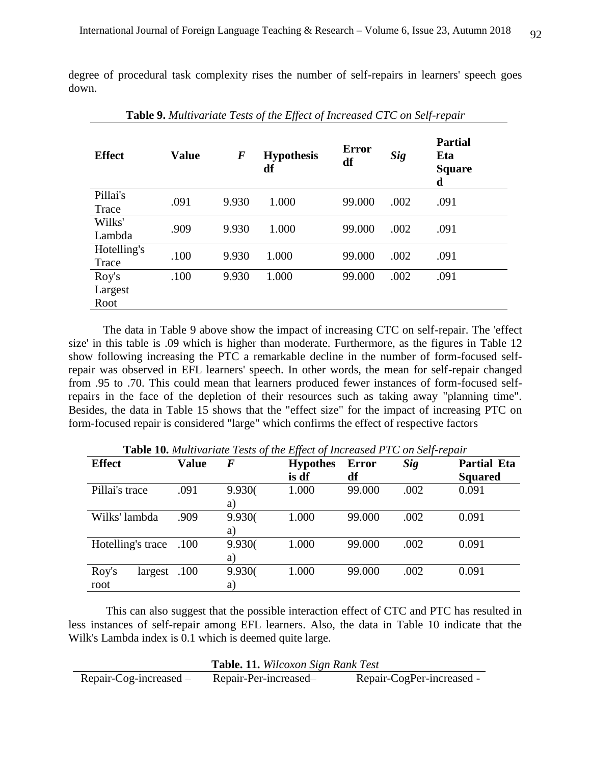degree of procedural task complexity rises the number of self-repairs in learners' speech goes down.

| <b>Effect</b> | <b>Value</b> | $\bm{F}$ | <b>Hypothesis</b><br>df | <b>Error</b><br>df | <b>Sig</b> | <b>Partial</b><br>Eta<br><b>Square</b><br>d |
|---------------|--------------|----------|-------------------------|--------------------|------------|---------------------------------------------|
| Pillai's      | .091         | 9.930    | 1.000                   | 99.000             | .002       | .091                                        |
| Trace         |              |          |                         |                    |            |                                             |
| Wilks'        | .909         | 9.930    | 1.000                   | 99.000             | .002       | .091                                        |
| Lambda        |              |          |                         |                    |            |                                             |
| Hotelling's   | .100         | 9.930    | 1.000                   | 99.000             | .002       | .091                                        |
| Trace         |              |          |                         |                    |            |                                             |
| Roy's         | .100         | 9.930    | 1.000                   | 99.000             | .002       | .091                                        |
| Largest       |              |          |                         |                    |            |                                             |
| Root          |              |          |                         |                    |            |                                             |

**Table 9.** *Multivariate Tests of the Effect of Increased CTC on Self-repair*

The data in Table 9 above show the impact of increasing CTC on self-repair. The 'effect size' in this table is .09 which is higher than moderate. Furthermore, as the figures in Table 12 show following increasing the PTC a remarkable decline in the number of form-focused selfrepair was observed in EFL learners' speech. In other words, the mean for self-repair changed from .95 to .70. This could mean that learners produced fewer instances of form-focused selfrepairs in the face of the depletion of their resources such as taking away "planning time". Besides, the data in Table 15 shows that the "effect size" for the impact of increasing PTC on form-focused repair is considered "large" which confirms the effect of respective factors

| <b>Effect</b>          | <b>Value</b> | $\bm{F}$ | <b>Hypothes</b> | <b>Error</b> | <b>Sig</b> | <b>Partial Eta</b> |
|------------------------|--------------|----------|-----------------|--------------|------------|--------------------|
|                        |              |          | is df           | df           |            | <b>Squared</b>     |
| Pillai's trace         | .091         | 9.930(   | 1.000           | 99.000       | .002       | 0.091              |
|                        |              | a)       |                 |              |            |                    |
| Wilks' lambda          | .909         | 9.930(   | 1.000           | 99.000       | .002       | 0.091              |
|                        |              | a)       |                 |              |            |                    |
| Hotelling's trace .100 |              | 9.930(   | 1.000           | 99.000       | .002       | 0.091              |
|                        |              | a)       |                 |              |            |                    |
| Roy's<br>largest .100  |              | 9.930(   | 1.000           | 99.000       | .002       | 0.091              |
| root                   |              | a)       |                 |              |            |                    |

**Table 10.** *Multivariate Tests of the Effect of Increased PTC on Self-repair*

 This can also suggest that the possible interaction effect of CTC and PTC has resulted in less instances of self-repair among EFL learners. Also, the data in Table 10 indicate that the Wilk's Lambda index is 0.1 which is deemed quite large.

| Table. 11. Wilcoxon Sign Rank Test        |                       |                           |
|-------------------------------------------|-----------------------|---------------------------|
| $\text{Replace}$ - $\text{Cog-increased}$ | Repair-Per-increased- | Repair-CogPer-increased - |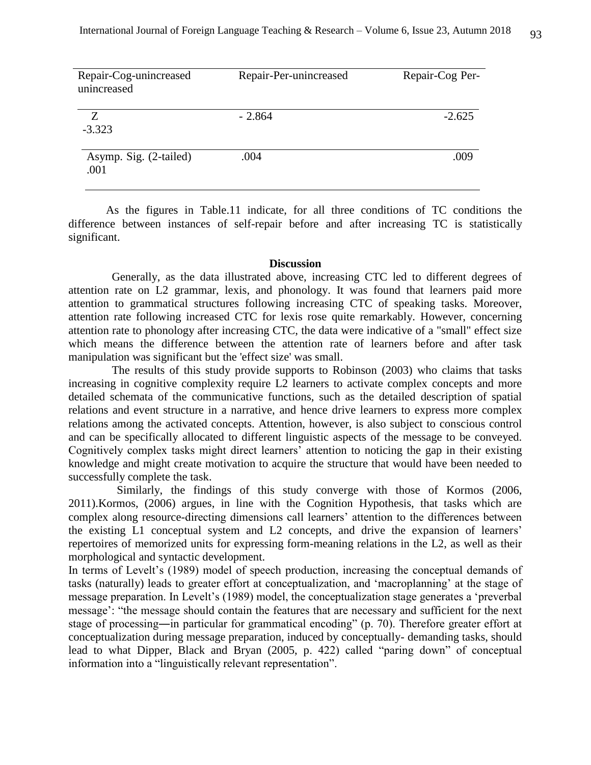| Repair-Cog-unincreased<br>unincreased | Repair-Per-unincreased | Repair-Cog Per- |
|---------------------------------------|------------------------|-----------------|
| $Z_{\rm c}$<br>$-3.323$               | $-2.864$               | $-2.625$        |
| Asymp. Sig. (2-tailed)<br>.001        | .004                   | .009            |

 As the figures in Table.11 indicate, for all three conditions of TC conditions the difference between instances of self-repair before and after increasing TC is statistically significant.

#### **Discussion**

Generally, as the data illustrated above, increasing CTC led to different degrees of attention rate on L2 grammar, lexis, and phonology. It was found that learners paid more attention to grammatical structures following increasing CTC of speaking tasks. Moreover, attention rate following increased CTC for lexis rose quite remarkably. However, concerning attention rate to phonology after increasing CTC, the data were indicative of a "small" effect size which means the difference between the attention rate of learners before and after task manipulation was significant but the 'effect size' was small.

The results of this study provide supports to Robinson (2003) who claims that tasks increasing in cognitive complexity require L2 learners to activate complex concepts and more detailed schemata of the communicative functions, such as the detailed description of spatial relations and event structure in a narrative, and hence drive learners to express more complex relations among the activated concepts. Attention, however, is also subject to conscious control and can be specifically allocated to different linguistic aspects of the message to be conveyed. Cognitively complex tasks might direct learners' attention to noticing the gap in their existing knowledge and might create motivation to acquire the structure that would have been needed to successfully complete the task.

Similarly, the findings of this study converge with those of Kormos (2006, 2011).Kormos, (2006) argues, in line with the Cognition Hypothesis, that tasks which are complex along resource-directing dimensions call learners' attention to the differences between the existing L1 conceptual system and L2 concepts, and drive the expansion of learners' repertoires of memorized units for expressing form-meaning relations in the L2, as well as their morphological and syntactic development.

In terms of Levelt's (1989) model of speech production, increasing the conceptual demands of tasks (naturally) leads to greater effort at conceptualization, and 'macroplanning' at the stage of message preparation. In Levelt's (1989) model, the conceptualization stage generates a 'preverbal message': "the message should contain the features that are necessary and sufficient for the next stage of processing―in particular for grammatical encoding" (p. 70). Therefore greater effort at conceptualization during message preparation, induced by conceptually- demanding tasks, should lead to what Dipper, Black and Bryan (2005, p. 422) called "paring down" of conceptual information into a "linguistically relevant representation".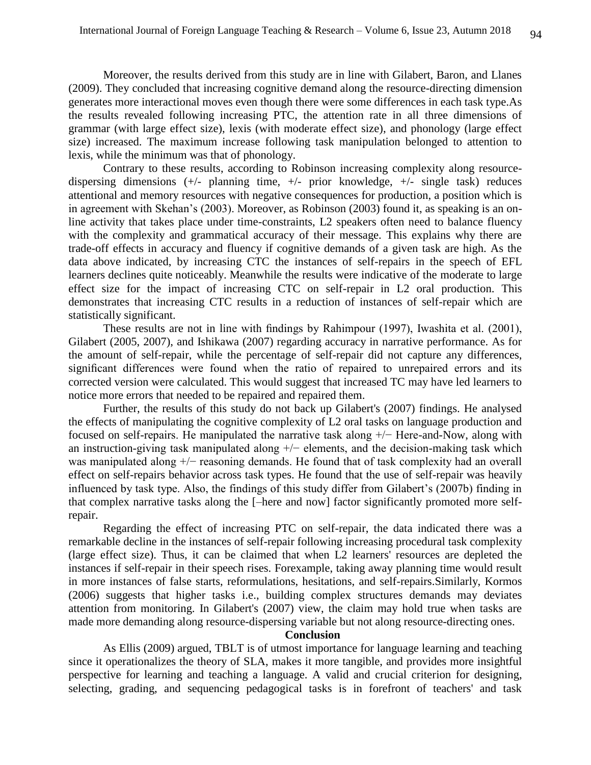Moreover, the results derived from this study are in line with Gilabert, Baron, and Llanes (2009). They concluded that increasing cognitive demand along the resource-directing dimension generates more interactional moves even though there were some differences in each task type.As the results revealed following increasing PTC, the attention rate in all three dimensions of grammar (with large effect size), lexis (with moderate effect size), and phonology (large effect size) increased. The maximum increase following task manipulation belonged to attention to lexis, while the minimum was that of phonology.

Contrary to these results, according to Robinson increasing complexity along resourcedispersing dimensions (+/- planning time, +/- prior knowledge, +/- single task) reduces attentional and memory resources with negative consequences for production, a position which is in agreement with Skehan's (2003). Moreover, as Robinson (2003) found it, as speaking is an online activity that takes place under time-constraints, L2 speakers often need to balance fluency with the complexity and grammatical accuracy of their message. This explains why there are trade-off effects in accuracy and fluency if cognitive demands of a given task are high. As the data above indicated, by increasing CTC the instances of self-repairs in the speech of EFL learners declines quite noticeably. Meanwhile the results were indicative of the moderate to large effect size for the impact of increasing CTC on self-repair in L2 oral production. This demonstrates that increasing CTC results in a reduction of instances of self-repair which are statistically significant.

These results are not in line with findings by Rahimpour (1997), Iwashita et al. (2001), Gilabert (2005, 2007), and Ishikawa (2007) regarding accuracy in narrative performance. As for the amount of self-repair, while the percentage of self-repair did not capture any differences, significant differences were found when the ratio of repaired to unrepaired errors and its corrected version were calculated. This would suggest that increased TC may have led learners to notice more errors that needed to be repaired and repaired them.

Further, the results of this study do not back up Gilabert's (2007) findings. He analysed the effects of manipulating the cognitive complexity of L2 oral tasks on language production and focused on self-repairs. He manipulated the narrative task along +/− Here-and-Now, along with an instruction-giving task manipulated along +/− elements, and the decision-making task which was manipulated along +/− reasoning demands. He found that of task complexity had an overall effect on self-repairs behavior across task types. He found that the use of self-repair was heavily influenced by task type. Also, the findings of this study differ from Gilabert's (2007b) finding in that complex narrative tasks along the [–here and now] factor significantly promoted more selfrepair.

Regarding the effect of increasing PTC on self-repair, the data indicated there was a remarkable decline in the instances of self-repair following increasing procedural task complexity (large effect size). Thus, it can be claimed that when L2 learners' resources are depleted the instances if self-repair in their speech rises. Forexample, taking away planning time would result in more instances of false starts, reformulations, hesitations, and self-repairs.Similarly, Kormos (2006) suggests that higher tasks i.e., building complex structures demands may deviates attention from monitoring. In Gilabert's (2007) view, the claim may hold true when tasks are made more demanding along resource-dispersing variable but not along resource-directing ones.

#### **Conclusion**

As Ellis (2009) argued, TBLT is of utmost importance for language learning and teaching since it operationalizes the theory of SLA, makes it more tangible, and provides more insightful perspective for learning and teaching a language. A valid and crucial criterion for designing, selecting, grading, and sequencing pedagogical tasks is in forefront of teachers' and task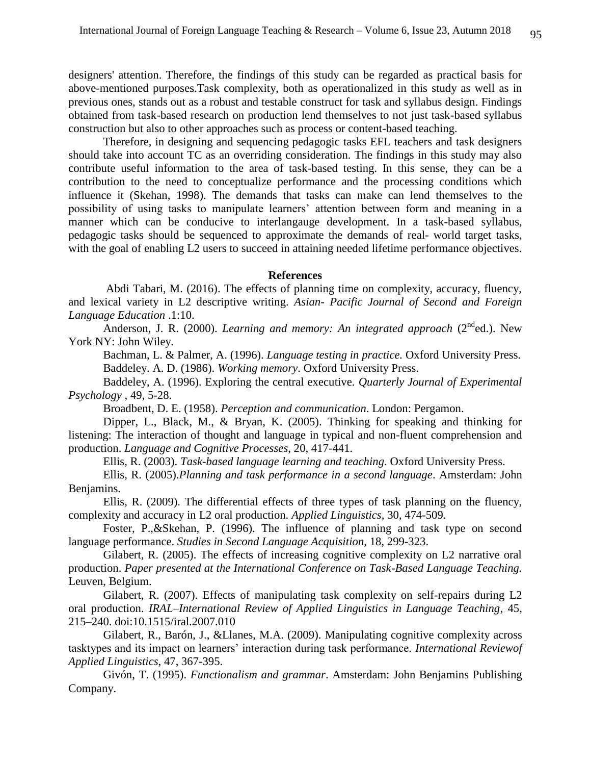designers' attention. Therefore, the findings of this study can be regarded as practical basis for above-mentioned purposes.Task complexity, both as operationalized in this study as well as in previous ones, stands out as a robust and testable construct for task and syllabus design. Findings obtained from task-based research on production lend themselves to not just task-based syllabus construction but also to other approaches such as process or content-based teaching.

Therefore, in designing and sequencing pedagogic tasks EFL teachers and task designers should take into account TC as an overriding consideration. The findings in this study may also contribute useful information to the area of task-based testing. In this sense, they can be a contribution to the need to conceptualize performance and the processing conditions which influence it (Skehan, 1998). The demands that tasks can make can lend themselves to the possibility of using tasks to manipulate learners' attention between form and meaning in a manner which can be conducive to interlangauge development. In a task-based syllabus, pedagogic tasks should be sequenced to approximate the demands of real- world target tasks, with the goal of enabling L2 users to succeed in attaining needed lifetime performance objectives.

### **References**

 Abdi Tabari, M. (2016). The effects of planning time on complexity, accuracy, fluency, and lexical variety in L2 descriptive writing. *Asian- Pacific Journal of Second and Foreign Language Education* .1:10.

Anderson, J. R. (2000). *Learning and memory: An integrated approach* (2<sup>nd</sup>ed.). New York NY: John Wiley.

Bachman, L. & Palmer, A. (1996). *Language testing in practice.* Oxford University Press. Baddeley. A. D. (1986). *Working memory*. Oxford University Press.

Baddeley, A. (1996). Exploring the central executive. *Quarterly Journal of Experimental Psychology* , 49, 5-28.

Broadbent, D. E. (1958). *Perception and communication*. London: Pergamon.

Dipper, L., Black, M., & Bryan, K. (2005). Thinking for speaking and thinking for listening: The interaction of thought and language in typical and non-fluent comprehension and production. *Language and Cognitive Processes*, 20, 417-441.

Ellis, R. (2003). *Task-based language learning and teaching*. Oxford University Press.

Ellis, R. (2005).*Planning and task performance in a second language*. Amsterdam: John Benjamins.

Ellis, R. (2009). The differential effects of three types of task planning on the fluency, complexity and accuracy in L2 oral production. *Applied Linguistics*, 30, 474-509.

Foster, P.,&Skehan, P. (1996). The influence of planning and task type on second language performance. *Studies in Second Language Acquisition*, 18, 299-323.

Gilabert, R. (2005). The effects of increasing cognitive complexity on L2 narrative oral production. *Paper presented at the International Conference on Task-Based Language Teaching.* Leuven, Belgium.

Gilabert, R. (2007). Effects of manipulating task complexity on self-repairs during L2 oral production. *IRAL–International Review of Applied Linguistics in Language Teaching*, 45, 215–240. doi:10.1515/iral.2007.010

Gilabert, R., Barón, J., &Llanes, M.A. (2009). Manipulating cognitive complexity across tasktypes and its impact on learners' interaction during task performance. *International Reviewof Applied Linguistics*, 47, 367-395.

Givón, T. (1995). *Functionalism and grammar*. Amsterdam: John Benjamins Publishing Company.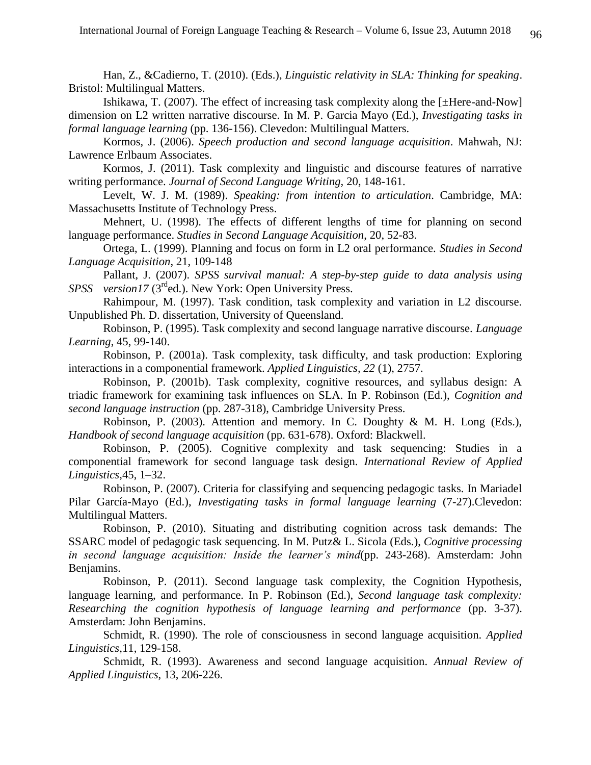Han, Z., &Cadierno, T. (2010). (Eds.), *Linguistic relativity in SLA: Thinking for speaking*. Bristol: Multilingual Matters.

Ishikawa, T. (2007). The effect of increasing task complexity along the  $[\pm \text{Here-and-Now}]$ dimension on L2 written narrative discourse. In M. P. Garcia Mayo (Ed.), *Investigating tasks in formal language learning* (pp. 136-156). Clevedon: Multilingual Matters.

Kormos, J. (2006). *Speech production and second language acquisition*. Mahwah, NJ: Lawrence Erlbaum Associates.

Kormos, J. (2011). Task complexity and linguistic and discourse features of narrative writing performance. *Journal of Second Language Writing,* 20, 148-161.

Levelt, W. J. M. (1989). *Speaking: from intention to articulation*. Cambridge, MA: Massachusetts Institute of Technology Press.

Mehnert, U. (1998). The effects of different lengths of time for planning on second language performance. *Studies in Second Language Acquisition*, 20, 52-83.

Ortega, L. (1999). Planning and focus on form in L2 oral performance. *Studies in Second Language Acquisition*, 21, 109-148

Pallant, J. (2007). *SPSS survival manual: A step-by-step guide to data analysis using SPSS* version17 (3<sup>rd</sup>ed.). New York: Open University Press.

Rahimpour, M. (1997). Task condition, task complexity and variation in L2 discourse. Unpublished Ph. D. dissertation, University of Queensland.

Robinson, P. (1995). Task complexity and second language narrative discourse. *Language Learning*, 45, 99-140.

Robinson, P. (2001a). Task complexity, task difficulty, and task production: Exploring interactions in a componential framework. *Applied Linguistics, 22* (1), 2757.

Robinson, P. (2001b). Task complexity, cognitive resources, and syllabus design: A triadic framework for examining task influences on SLA. In P. Robinson (Ed.), *Cognition and second language instruction* (pp. 287-318), Cambridge University Press.

Robinson, P. (2003). Attention and memory. In C. Doughty & M. H. Long (Eds.), *Handbook of second language acquisition* (pp. 631-678). Oxford: Blackwell.

Robinson, P. (2005). Cognitive complexity and task sequencing: Studies in a componential framework for second language task design. *International Review of Applied Linguistics,*45, 1–32.

Robinson, P. (2007). Criteria for classifying and sequencing pedagogic tasks. In Mariadel Pilar García-Mayo (Ed.), *Investigating tasks in formal language learning* (7-27).Clevedon: Multilingual Matters.

Robinson, P. (2010). Situating and distributing cognition across task demands: The SSARC model of pedagogic task sequencing. In M. Putz& L. Sicola (Eds.), *Cognitive processing in second language acquisition: Inside the learner's mind*(pp. 243-268). Amsterdam: John Benjamins.

Robinson, P. (2011). Second language task complexity, the Cognition Hypothesis, language learning, and performance. In P. Robinson (Ed.), *Second language task complexity: Researching the cognition hypothesis of language learning and performance* (pp. 3-37). Amsterdam: John Benjamins.

Schmidt, R. (1990). The role of consciousness in second language acquisition. *Applied Linguistics,*11, 129-158.

Schmidt, R. (1993). Awareness and second language acquisition. *Annual Review of Applied Linguistics*, 13, 206-226.